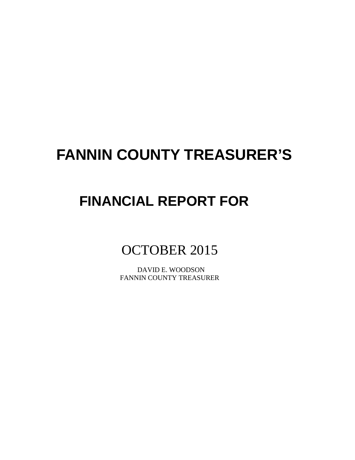# **FANNIN COUNTY TREASURER'S**

# **FINANCIAL REPORT FOR**

# OCTOBER 2015

 DAVID E. WOODSON FANNIN COUNTY TREASURER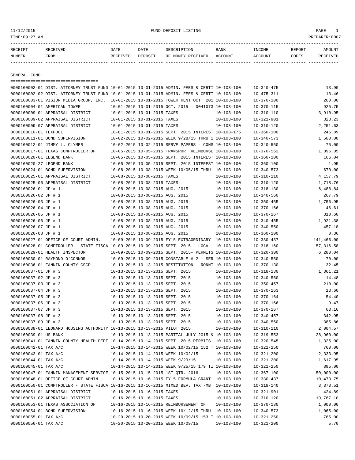TIME:09:27 AM PREPARER:0007

| RECEIPT       | <b>RECEIVED</b> | DATE     | DATE    | DESCRIPTION       | <b>BANK</b> | INCOME  | REPORT | AMOUNT   |
|---------------|-----------------|----------|---------|-------------------|-------------|---------|--------|----------|
| <b>NUMBER</b> | FROM            | RECEIVED | DEPOSIT | OF MONEY RECEIVED | ACCOUNT     | ACCOUNT | CODES  | RECEIVED |
|               |                 |          |         |                   |             |         |        |          |

GENERAL FUND

| ====================================                                                         |                                  |                             |                                                            |                  |                  |            |
|----------------------------------------------------------------------------------------------|----------------------------------|-----------------------------|------------------------------------------------------------|------------------|------------------|------------|
| 0000160002-01 DIST. ATTORNEY TRUST FUND 10-01-2015 10-01-2015 ADMIN. FEES & CERTI 10-103-100 |                                  |                             |                                                            |                  | $10 - 340 - 475$ | 13.90      |
| 0000160002-02 DIST. ATTORNEY TRUST FUND 10-01-2015 10-01-2015 ADMIN. FEES & CERTI 10-103-100 |                                  |                             |                                                            |                  | $10 - 475 - 311$ | 13.46      |
| 0000160003-01 VISION MEDIA GROUP, INC. 10-01-2015 10-01-2015 TOWER RENT OCT. 201 10-103-100  |                                  |                             |                                                            |                  | $10 - 370 - 100$ | 200.00     |
| 0000160004-01 AMERICAN TOWER                                                                 |                                  |                             | $10-01-2015$ $10-01-2015$ OCT. 2015 - 0041073 10-103-100   |                  | $10 - 370 - 115$ | 925.75     |
| 0000160009-01 APPRAISAL DISTRICT                                                             | 10-01-2015 10-01-2015 TAXES      |                             |                                                            | $10 - 103 - 100$ | $10 - 310 - 110$ | 3,910.95   |
| 0000160009-02 APPRAISAL DISTRICT                                                             | 10-01-2015 10-01-2015 TAXES      |                             |                                                            | $10 - 103 - 100$ | $10 - 321 - 901$ | 323.23     |
| 0000160009-07 APPRAISAL DISTRICT                                                             | 10-01-2015 10-01-2015 TAXES      |                             |                                                            | $10 - 103 - 100$ | $10 - 310 - 120$ | 2,251.63   |
| 0000160010-01 TEXPOOL                                                                        |                                  |                             | 10-01-2015 10-01-2015 SEPT. 2015 INTEREST 10-103-175       |                  | $10 - 360 - 100$ | 245.89     |
| 0000160011-01 BOND SUPERVISION                                                               |                                  |                             | 10-02-2015 10-02-2015 WEEK 9/28/15 THRU 1 10-103-100       |                  | $10 - 340 - 573$ | 1,500.00   |
| 0000160012-01 JIMMY L. CLYMER                                                                |                                  |                             | 10-02-2015 10-02-2015 SERVE PAPERS - CONS 10-103-100       |                  | $10 - 340 - 550$ | 75.00      |
| 0000160017-01 TEXAS COMPTROLLER OF                                                           |                                  |                             | 10-05-2015 10-05-2015 TRANSPORT REIMBURSE 10-103-100       |                  | $10 - 370 - 562$ | 1,896.05   |
| 0000160020-01 LEGEND BANK                                                                    |                                  |                             | 10-05-2015 10-05-2015 SEPT. 2015 INTEREST 10-103-100       |                  | $10 - 360 - 100$ | 166.04     |
| 0000160020-27 LEGEND BANK                                                                    |                                  |                             | 10-05-2015 10-05-2015 SEPT. 2015 INTEREST 10-100-100       |                  | $10 - 360 - 100$ | 1.95       |
| 0000160024-01 BOND SUPERVISION                                                               |                                  |                             | 10-08-2015 10-08-2015 WEEK 10/05/15 THRU 10-103-100        |                  | $10 - 340 - 573$ | 670.00     |
| 0000160025-01 APPRAISAL DISTRICT                                                             | 10-08-2015 10-08-2015 TAXES      |                             |                                                            | $10 - 103 - 100$ | $10 - 310 - 110$ | 4,157.79   |
| 0000160025-06 APPRAISAL DISTRICT                                                             | 10-08-2015 10-08-2015 TAXES      |                             |                                                            | $10 - 103 - 100$ | $10 - 310 - 120$ | 1,718.76   |
| 0000160026-01 JP # 1                                                                         | 10-08-2015 10-08-2015 AUG. 2015  |                             |                                                            | $10 - 103 - 100$ | $10 - 318 - 130$ | 6,488.84   |
| 0000160026-02 JP # 1                                                                         | 10-08-2015 10-08-2015 AUG. 2015  |                             |                                                            | $10 - 103 - 100$ | $10 - 340 - 560$ | 267.79     |
| 0000160026-03 JP # 1                                                                         | 10-08-2015 10-08-2015 AUG. 2015  |                             |                                                            | $10 - 103 - 100$ | $10 - 350 - 455$ | 1,756.95   |
| 0000160026-04 JP # 1                                                                         | 10-08-2015 10-08-2015 AUG. 2015  |                             |                                                            | $10 - 103 - 100$ | $10 - 370 - 166$ | 46.61      |
| 0000160026-05 JP # 1                                                                         | 10-08-2015 10-08-2015 AUG. 2015  |                             |                                                            | $10 - 103 - 100$ | $10 - 370 - 167$ | 310.60     |
| 0000160026-06 JP # 1                                                                         | 10-08-2015 10-08-2015 AUG. 2015  |                             |                                                            | $10 - 103 - 100$ | $10 - 340 - 455$ | 1,921.38   |
| 0000160026-07 JP # 1                                                                         | 10-08-2015 10-08-2015 AUG. 2015  |                             |                                                            | $10 - 103 - 100$ | $10 - 340 - 550$ | 457.18     |
| 0000160026-08 JP # 1                                                                         | 10-08-2015 10-08-2015 AUG. 2015  |                             |                                                            | $10 - 103 - 100$ | $10 - 360 - 100$ | 0.36       |
| 0000160027-01 OFFICE OF COURT ADMIN.                                                         |                                  |                             | 10-09-2015 10-09-2015 FY15 EXTRAORDINARY 10-103-100        |                  | $10 - 330 - 437$ | 141,466.00 |
| 0000160028-01 COMPTROLLER - STATE FISCA 10-09-2015 10-09-2015 SEPT. 2015 - LOCAL 10-103-100  |                                  |                             |                                                            |                  | $10 - 318 - 160$ | 57, 316.58 |
| 0000160029-01 HEALTH INSPECTOR                                                               |                                  |                             | 10-09-2015 10-09-2015 SEPT. 2015- PERMITS 10-103-100       |                  | $10 - 320 - 300$ | 6,280.04   |
| 0000160030-01 RAYMOND O'CONNOR                                                               |                                  |                             | $10-09-2015$ $10-09-2015$ CONSTABLE # 2 - SER $10-103-100$ |                  | $10 - 340 - 550$ | 70.00      |
| 0000160036-01 FANNIN COUNTY CSCD                                                             |                                  |                             | 10-13-2015 10-13-2015 RESTITUTION - RONNI 10-103-100       |                  | $10 - 370 - 130$ | 32.45      |
| 0000160037-01 JP # 3                                                                         | 10-13-2015 10-13-2015 SEPT. 2015 |                             |                                                            | $10 - 103 - 100$ | $10 - 318 - 130$ | 1,361.21   |
| 0000160037-02 JP # 3                                                                         |                                  |                             | 10-13-2015 10-13-2015 SEPT. 2015                           | $10 - 103 - 100$ | $10 - 340 - 560$ | 14.48      |
| 0000160037-03 JP # 3                                                                         | 10-13-2015 10-13-2015 SEPT. 2015 |                             |                                                            | $10 - 103 - 100$ | $10 - 350 - 457$ | 210.00     |
| 0000160037-04 JP # 3                                                                         |                                  |                             | 10-13-2015 10-13-2015 SEPT. 2015                           | $10 - 103 - 100$ | $10 - 370 - 163$ | 13.60      |
| 0000160037-05 JP # 3                                                                         |                                  |                             | 10-13-2015 10-13-2015 SEPT. 2015                           | $10 - 103 - 100$ | $10 - 370 - 164$ | 54.40      |
| 0000160037-06 JP # 3                                                                         | 10-13-2015 10-13-2015 SEPT. 2015 |                             |                                                            | $10 - 103 - 100$ | $10 - 370 - 166$ | 9.47       |
| 0000160037-07 JP # 3                                                                         | 10-13-2015 10-13-2015 SEPT. 2015 |                             |                                                            | $10 - 103 - 100$ | $10 - 370 - 167$ | 63.16      |
| 0000160037-08 JP # 3                                                                         | 10-13-2015 10-13-2015 SEPT. 2015 |                             |                                                            | $10 - 103 - 100$ | $10 - 340 - 457$ | 342.95     |
| 0000160037-09 JP # 3                                                                         |                                  |                             | 10-13-2015 10-13-2015 SEPT. 2015                           | $10 - 103 - 100$ | $10 - 340 - 550$ | 385.86     |
| 0000160038-01 LEONARD HOUSING AUTHORITY 10-13-2015 10-13-2015 PILOT 2015                     |                                  |                             |                                                            | $10 - 103 - 100$ | $10 - 310 - 110$ | 2,004.57   |
| 0000160039-01 US BANK                                                                        |                                  |                             | 10-13-2015 10-13-2015 PARTIAL JULY 2015 & 10-103-100       |                  | $10 - 319 - 553$ | 28,960.00  |
| 0000160041-01 FANNIN COUNTY HEALTH DEPT 10-14-2015 10-14-2015 SEPT. 2015 PERMITS 10-103-100  |                                  |                             |                                                            |                  | $10 - 320 - 545$ | 1,325.00   |
| 0000160042-01 TAX A/C                                                                        |                                  |                             | 10-14-2015 10-14-2015 WEEK 10/02/15 152 T 10-103-100       |                  | $10 - 321 - 250$ | 760.00     |
| 0000160043-01 TAX A/C                                                                        |                                  |                             | 10-14-2015 10-14-2015 WEEK 10/02/15                        | $10 - 103 - 100$ | $10 - 321 - 200$ | 2,333.95   |
| 0000160044-01 TAX A/C                                                                        |                                  |                             | 10-14-2015 10-14-2015 WEEK 9/29/15                         | $10 - 103 - 100$ | $10 - 321 - 200$ | 1,617.95   |
| 0000160045-01 TAX A/C                                                                        |                                  |                             | 10-14-2015 10-14-2015 WEEK 9/25/15 179 TI 10-103-100       |                  | $10 - 321 - 250$ | 895.00     |
| 0000160047-01 FANNIN MANAGEMENT SERVICE 10-15-2015 10-15-2015 1ST QTR. 2016                  |                                  |                             |                                                            | $10 - 103 - 100$ | $10 - 367 - 100$ | 50,000.00  |
| 0000160048-01 OFFICE OF COURT ADMIN.                                                         |                                  |                             | 10-16-2015 10-16-2015 FY15 FORMULA GRANT- 10-103-100       |                  | $10 - 330 - 437$ | 10,473.75  |
| 0000160050-01 COMPTROLLER - STATE FISCA 10-16-2015 10-16-2015 MIXED BEV. TAX -MB 10-103-100  |                                  |                             |                                                            |                  | $10 - 318 - 140$ | 3,373.51   |
| 0000160051-01 APPRAISAL DISTRICT                                                             |                                  | 10-16-2015 10-16-2015 TAXES |                                                            | $10 - 103 - 100$ | $10 - 321 - 901$ | 424.89     |
| 0000160051-02 APPRAISAL DISTRICT                                                             |                                  | 10-16-2015 10-16-2015 TAXES |                                                            | $10 - 103 - 100$ | $10 - 310 - 120$ | 19,767.10  |
| 0000160053-01 TEXAS ASSOCIATION OF                                                           |                                  |                             | 10-16-2015 10-16-2015 REIMBURSEMENT OF                     | $10 - 103 - 100$ |                  |            |
|                                                                                              |                                  |                             | 10-16-2015 10-16-2015 WEEK 10/12/15 THRU 10-103-100        |                  | $10 - 370 - 130$ | 1,000.00   |
| 0000160054-01 BOND SUPERVISION                                                               |                                  |                             |                                                            |                  | $10 - 340 - 573$ | 1,065.00   |
| 0000160055-01 TAX A/C                                                                        |                                  |                             | 10-20-2015 10-20-2015 WEEK 10/09/15 153 T 10-103-100       |                  | $10 - 321 - 250$ | 765.00     |
| 0000160056-01 TAX A/C                                                                        |                                  |                             | 10-20-2015 10-20-2015 WEEK 10/09/15                        | $10 - 103 - 100$ | $10 - 321 - 200$ | 5.70       |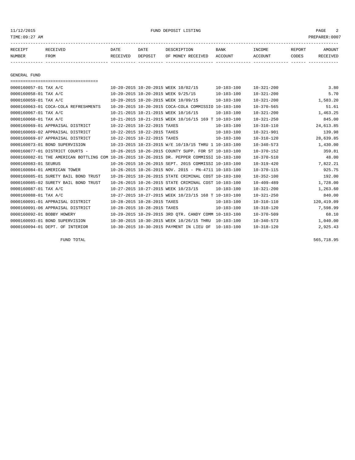11/12/2015 FUND DEPOSIT LISTING PAGE 2

| RECEIPT | RECEIVED | DATE     | DATE    | DESCRIPTION       | <b>BANK</b> | INCOME  | <b>REPORT</b> | AMOUNT          |
|---------|----------|----------|---------|-------------------|-------------|---------|---------------|-----------------|
| NUMBER  | FROM     | RECEIVED | DEPOSIT | OF MONEY RECEIVED | ACCOUNT     | ACCOUNT | CODES         | <b>RECEIVED</b> |
|         |          |          |         |                   |             |         |               |                 |

GENERAL FUND

| =====================================                                                        |                             |                             |                                                              |                  |                  |            |
|----------------------------------------------------------------------------------------------|-----------------------------|-----------------------------|--------------------------------------------------------------|------------------|------------------|------------|
|                                                                                              |                             |                             |                                                              |                  |                  |            |
| 0000160057-01 TAX A/C                                                                        |                             |                             | 10-20-2015 10-20-2015 WEEK 10/02/15                          | $10 - 103 - 100$ | $10 - 321 - 200$ | 3.80       |
| 0000160058-01 TAX A/C                                                                        |                             |                             | 10-20-2015 10-20-2015 WEEK 9/25/15                           | $10 - 103 - 100$ | $10 - 321 - 200$ | 5.70       |
| 0000160059-01 TAX A/C                                                                        |                             |                             | 10-20-2015 10-20-2015 WEEK 10/09/15                          | $10 - 103 - 100$ | $10 - 321 - 200$ | 1,583.20   |
| 0000160063-01 COCA-COLA REFRESHMENTS                                                         |                             |                             | 10-20-2015 10-20-2015 COCA-COLA COMMISSIO 10-103-100         |                  | $10 - 370 - 565$ | 51.61      |
| 0000160067-01 TAX A/C                                                                        |                             |                             | 10-21-2015 10-21-2015 WEEK 10/16/15                          | $10 - 103 - 100$ | $10 - 321 - 200$ | 1,463.25   |
| 0000160068-01 TAX A/C                                                                        |                             |                             | 10-21-2015 10-21-2015 WEEK 10/16/15 169 T 10-103-100         |                  | $10 - 321 - 250$ | 845.00     |
| 0000160069-01 APPRAISAL DISTRICT                                                             |                             | 10-22-2015 10-22-2015 TAXES |                                                              | $10 - 103 - 100$ | $10 - 310 - 110$ | 24,613.85  |
| 0000160069-02 APPRAISAL DISTRICT                                                             |                             | 10-22-2015 10-22-2015 TAXES |                                                              | $10 - 103 - 100$ | $10 - 321 - 901$ | 139.98     |
| 0000160069-07 APPRAISAL DISTRICT                                                             | 10-22-2015 10-22-2015 TAXES |                             |                                                              | $10 - 103 - 100$ | $10 - 310 - 120$ | 28,639.85  |
| 0000160073-01 BOND SUPERVISION                                                               |                             |                             | 10-23-2015 10-23-2015 W/E 10/19/15 THRU 1 10-103-100         |                  | $10 - 340 - 573$ | 1,430.00   |
| 0000160077-01 DISTRICT COURTS -                                                              |                             |                             | 10-26-2015 10-26-2015 COUNTY SUPP. FOR ST 10-103-100         |                  | $10 - 370 - 152$ | 359.81     |
| 0000160082-01 THE AMERICAN BOTTLING COM 10-26-2015 10-26-2015 DR. PEPPER COMMISSI 10-103-100 |                             |                             |                                                              |                  | $10 - 370 - 510$ | 48.00      |
| 0000160083-01 SEURUS                                                                         |                             |                             | 10-26-2015 10-26-2015 SEPT. 2015 COMMISSI 10-103-100         |                  | $10 - 319 - 420$ | 7,822.21   |
| 0000160084-01 AMERICAN TOWER                                                                 |                             |                             | $10-26-2015$ $10-26-2015$ NOV, $2015$ - PN-4711 $10-103-100$ |                  | $10 - 370 - 115$ | 925.75     |
| 0000160085-01 SURETY BAIL BOND<br>TRUST                                                      |                             |                             | 10-26-2015 10-26-2015 STATE CRIMINAL COST 10-103-100         |                  | $10 - 352 - 100$ | 192.00     |
| 0000160085-02 SURETY BAIL BOND TRUST                                                         |                             |                             | 10-26-2015 10-26-2015 STATE CRIMINAL COST 10-103-100         |                  | $10 - 409 - 489$ | 1,728.00   |
| 0000160087-01 TAX A/C                                                                        |                             |                             | 10-27-2015 10-27-2015 WEEK 10/23/15                          | $10 - 103 - 100$ | $10 - 321 - 200$ | 1,263.60   |
| 0000160088-01 TAX A/C                                                                        |                             |                             | 10-27-2015 10-27-2015 WEEK 10/23/15 168 T 10-103-100         |                  | $10 - 321 - 250$ | 840.00     |
| 0000160091-01 APPRAISAL DISTRICT                                                             |                             | 10-28-2015 10-28-2015 TAXES |                                                              | $10 - 103 - 100$ | $10 - 310 - 110$ | 120,419.09 |
| 0000160091-06 APPRAISAL DISTRICT                                                             |                             | 10-28-2015 10-28-2015 TAXES |                                                              | $10 - 103 - 100$ | $10 - 310 - 120$ | 7,598.99   |
| 0000160092-01 BOBBY HOWERY                                                                   |                             |                             | 10-29-2015 10-29-2015 3RD QTR. CANDY COMM 10-103-100         |                  | $10 - 370 - 509$ | 68.10      |
| 0000160093-01 BOND SUPERVISION                                                               |                             |                             | 10-30-2015 10-30-2015 WEEK 10/26/15 THRU                     | $10 - 103 - 100$ | $10 - 340 - 573$ | 1,040.00   |
| 0000160094-01 DEPT. OF INTERIOR                                                              |                             |                             | 10-30-2015 10-30-2015 PAYMENT IN LIEU OF                     | $10 - 103 - 100$ | $10 - 318 - 120$ | 2,925.43   |

FUND TOTAL 565,718.95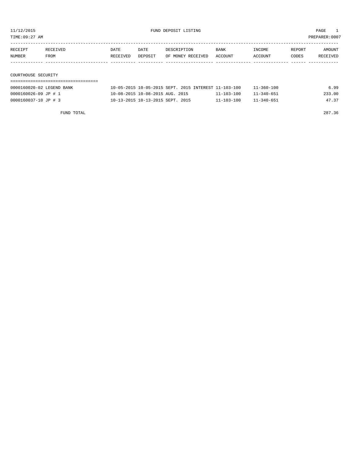0000160037-10 JP # 3 10-13-2015 10-13-2015 SEPT. 2015 11-103-100 11-340-651 47.37

| TIME:09:27 AM                                         |                  |                  |                                 |                                                      |                  |                          |                 | PREPARER:0007      |
|-------------------------------------------------------|------------------|------------------|---------------------------------|------------------------------------------------------|------------------|--------------------------|-----------------|--------------------|
| RECEIPT<br>NUMBER                                     | RECEIVED<br>FROM | DATE<br>RECEIVED | DATE<br>DEPOSIT                 | DESCRIPTION<br>OF MONEY RECEIVED                     | BANK<br>ACCOUNT  | <b>TNCOME</b><br>ACCOUNT | REPORT<br>CODES | AMOUNT<br>RECEIVED |
| COURTHOUSE SECURITY                                   |                  |                  |                                 |                                                      |                  |                          |                 |                    |
| ========================<br>0000160020-02 LEGEND BANK |                  |                  |                                 | 10-05-2015 10-05-2015 SEPT. 2015 INTEREST 11-103-100 |                  | $11 - 360 - 100$         |                 | 6.99               |
| 0000160026-09 JP # 1                                  |                  |                  | 10-08-2015 10-08-2015 AUG. 2015 |                                                      | $11 - 103 - 100$ | $11 - 340 - 651$         |                 | 233.00             |

FUND TOTAL 287.36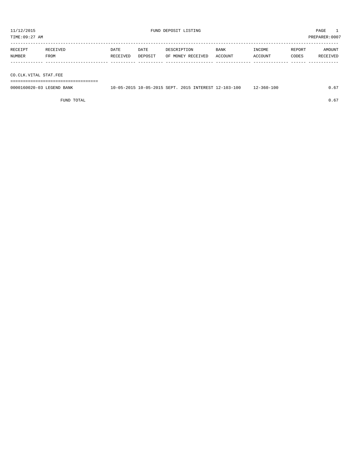TIME:09:27 AM PREPARER:0007 ----------------------------------------------------------------------------------------------------------------------------------- RECEIPT RECEIVED DATE DATE DESCRIPTION BANK INCOME REPORT AMOUNT NUMBER FROM RECEIVED DEPOSIT OF MONEY RECEIVED ACCOUNT ACCOUNT CODES RECEIVED ------------- ------------------------- ---------- ---------- ------------------- -------------- -------------- ------ ------------ CO.CLK.VITAL STAT.FEE

===================================

| 0000160020-03<br><b>I DODAID</b><br>BANK<br>LEGEND. | . | $10 - 05 - 2015$ SEPT. | 2015 | INTEREST 12- | $2 - 103 - 100$ | 100<br>$-360 - 7$<br>$\lambda -$ | ں . |
|-----------------------------------------------------|---|------------------------|------|--------------|-----------------|----------------------------------|-----|
|                                                     |   |                        |      |              |                 |                                  |     |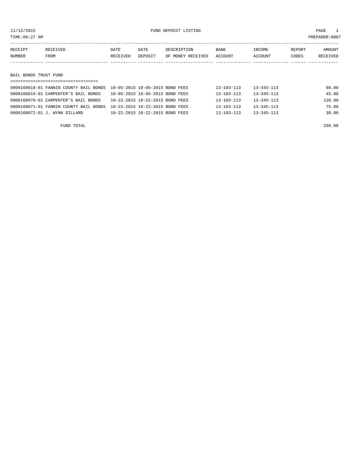11/12/2015 FUND DEPOSIT LISTING PAGE 1

| RECEIPT               | RECEIVED | DATE     | DATE    | DESCRIPTION       | BANK    | INCOME  | REPORT | AMOUNT   |  |  |  |
|-----------------------|----------|----------|---------|-------------------|---------|---------|--------|----------|--|--|--|
| NUMBER                | FROM     | RECEIVED | DEPOSIT | OF MONEY RECEIVED | ACCOUNT | ACCOUNT | CODES  | RECEIVED |  |  |  |
|                       |          |          |         |                   |         |         |        |          |  |  |  |
|                       |          |          |         |                   |         |         |        |          |  |  |  |
| BAIL BONDS TRUST FUND |          |          |         |                   |         |         |        |          |  |  |  |
|                       |          |          |         |                   |         |         |        |          |  |  |  |

| 0000160018-01 FANNIN COUNTY BAIL BONDS  10-05-2015  10-05-2015  BOND FEES |                                 | $13 - 103 - 113$ | $13 - 345 - 113$ | 60.00  |
|---------------------------------------------------------------------------|---------------------------------|------------------|------------------|--------|
| 0000160019-01 CARPENTER'S BAIL BONDS                                      | 10-05-2015 10-05-2015 BOND FEES | $13 - 103 - 113$ | $13 - 345 - 113$ | 45.00  |
| 0000160070-01 CARPENTER'S BAIL BONDS                                      | 10-22-2015 10-22-2015 BOND FEES | $13 - 103 - 113$ | 13-345-113       | 120.00 |
| 0000160071-01 FANNIN COUNTY BAIL BONDS                                    | 10-22-2015 10-22-2015 BOND FEES | $13 - 103 - 113$ | $13 - 345 - 113$ | 75.00  |
| 0000160072-01 J. WYNN DILLARD                                             | 10-22-2015 10-22-2015 BOND FEES | $13 - 103 - 113$ | $13 - 345 - 113$ | 30.00  |
|                                                                           |                                 |                  |                  |        |

FUND TOTAL 330.00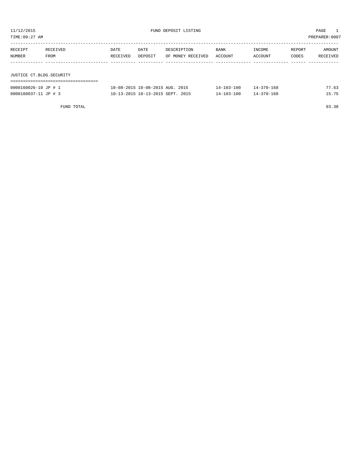| TIME:09:27 AM            |          |          |         |                   |             |         |        | PREPARER:0007 |
|--------------------------|----------|----------|---------|-------------------|-------------|---------|--------|---------------|
| RECEIPT                  | RECEIVED | DATE     | DATE    | DESCRIPTION       | <b>BANK</b> | INCOME  | REPORT | AMOUNT        |
| NUMBER                   | FROM     | RECEIVED | DEPOSIT | OF MONEY RECEIVED | ACCOUNT     | ACCOUNT | CODES  | RECEIVED      |
|                          |          |          |         |                   |             |         |        |               |
| JUSTICE CT.BLDG.SECURITY |          |          |         |                   |             |         |        |               |
|                          |          |          |         |                   |             |         |        |               |

| 0000160026-10 JP # 1 | 10-08-2015 10-08-2015 AUG. 2015  | 14-103-100       | 14-370-168 |  |
|----------------------|----------------------------------|------------------|------------|--|
| 0000160037-11 JP # 3 | 10-13-2015 10-13-2015 SEPT. 2015 | $14 - 103 - 100$ | 14-370-168 |  |

FUND TOTAL 93.38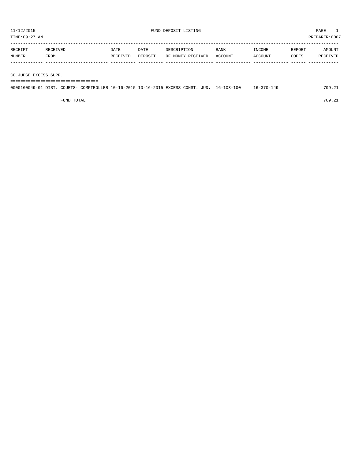TIME:09:27 AM PREPARER:0007 ----------------------------------------------------------------------------------------------------------------------------------- RECEIPT RECEIVED DATE DATE DESCRIPTION BANK INCOME REPORT AMOUNT

| <b>NUMBER</b> | FROM | RECEIVED | DEPOSIT | OF MONEY RECEIVED | ACCOUNT | ACCOUNT | CODES | <b>RECEIVED</b> |
|---------------|------|----------|---------|-------------------|---------|---------|-------|-----------------|
|               |      |          |         |                   |         |         |       |                 |

CO.JUDGE EXCESS SUPP. ===================================

| 0000160049-01 DIST. COURTS- COMPTROLLER 10-16-2015 10-16-2015 EXCESS CONST. JUD. 16-103-100 |  |  |  |  | $16 - 370 - 149$ | 709.21 |
|---------------------------------------------------------------------------------------------|--|--|--|--|------------------|--------|
|                                                                                             |  |  |  |  |                  |        |

FUND TOTAL 709.21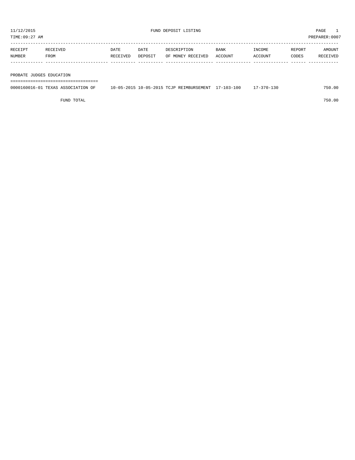TIME:09:27 AM PREPARER:0007 ----------------------------------------------------------------------------------------------------------------------------------- RECEIPT RECEIVED DATE DATE DESCRIPTION BANK INCOME REPORT AMOUNT

| NUMBER                   | FROM | RECEIVED | DEPOSIT OF MONEY RECEIVED ACCOUNT |  | ACCOUNT | CODES | RECEIVED |
|--------------------------|------|----------|-----------------------------------|--|---------|-------|----------|
|                          |      |          |                                   |  |         |       |          |
|                          |      |          |                                   |  |         |       |          |
| PROBATE JUDGES EDUCATION |      |          |                                   |  |         |       |          |
|                          |      |          |                                   |  |         |       |          |

| 0000160016-01<br>$\pi\pi\pi\pi\pi$<br>$\sim$ $\sim$ $\sim$<br>ATION<br>7.XAS<br>--<br>. | $10 - 05 - 201$<br>$-2015$<br>$0 - 0.5 -$<br>MAX<br>TMBURSEMENT<br>$\blacksquare$<br>- R H.<br>$\mathcal{L} \cup \mathcal{L}$ | -100<br>$\sqrt{2}$<br>-- | $\cap$ $\cap$ | 00<br>750 |
|-----------------------------------------------------------------------------------------|-------------------------------------------------------------------------------------------------------------------------------|--------------------------|---------------|-----------|
|                                                                                         |                                                                                                                               |                          |               |           |

FUND TOTAL 750.00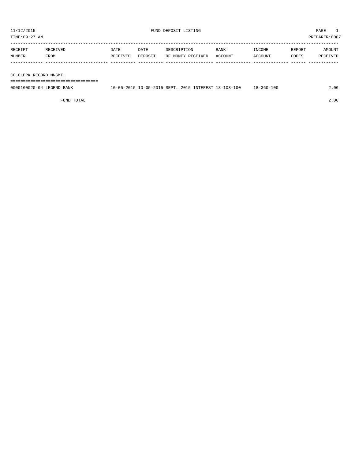| TIME:09:27 AM |          |          |         |                   |             |         |        | PREPARER: 0007 |
|---------------|----------|----------|---------|-------------------|-------------|---------|--------|----------------|
| RECEIPT       | RECEIVED | DATE     | DATE    | DESCRIPTION       | <b>BANK</b> | INCOME  | REPORT | AMOUNT         |
| <b>NUMBER</b> | FROM     | RECEIVED | DEPOSIT | OF MONEY RECEIVED | ACCOUNT     | ACCOUNT | CODES  | RECEIVED       |
|               |          |          |         |                   |             |         |        |                |

CO.CLERK RECORD MNGMT.

===================================

| 0000160020-04<br>LEGEND<br>BANK | $10 - 05 - 2015$ SEPT.<br>$0 - 05 - 2015$ | 2015<br>INTEREST 18-103-100 | 18-360-100 | 2.06 |
|---------------------------------|-------------------------------------------|-----------------------------|------------|------|
|                                 |                                           |                             |            |      |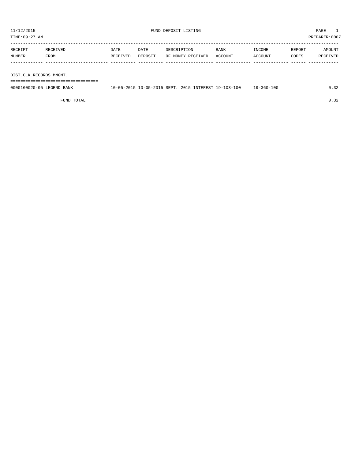TIME:09:27 AM PREPARER:0007 ----------------------------------------------------------------------------------------------------------------------------------- RECEIPT RECEIVED DATE DATE DESCRIPTION BANK INCOME REPORT AMOUNT NUMBER FROM RECEIVED DEPOSIT OF MONEY RECEIVED ACCOUNT ACCOUNT CODES RECEIVED ------------- ------------------------- ---------- ---------- ------------------- -------------- -------------- ------ ------------

DIST.CLK.RECORDS MNGMT.

===================================

| 0000160020-05 LEGEND BANK | 10-05-2015 10-05-2015 SEPT. 2015 INTEREST 19-103-100 |  | 19-360-100 | 0.32 |
|---------------------------|------------------------------------------------------|--|------------|------|
|                           |                                                      |  |            |      |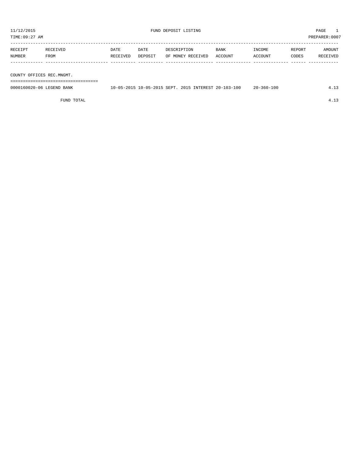TIME:09:27 AM PREPARER:0007

| RECEIPT | RECEIVED | <b>DATE</b> | DATE    | DESCRIPTION       | BANK    | INCOME  | REPORT | <b>AMOUNT</b> |
|---------|----------|-------------|---------|-------------------|---------|---------|--------|---------------|
| NUMBER  | FROM     | RECEIVED    | DEPOSIT | OF MONEY RECEIVED | ACCOUNT | ACCOUNT | CODES  | RECEIVED      |
|         |          |             |         |                   |         |         |        |               |
|         |          |             |         |                   |         |         |        |               |
|         |          |             |         |                   |         |         |        |               |

COUNTY OFFICES REC.MNGMT.

===================================

| 0000160020-06 LEGEND BANK | 10-05-2015 10-05-2015 SEPT, 2015 INTEREST 20-103-100 | $20 - 360 - 100$ |  |
|---------------------------|------------------------------------------------------|------------------|--|
|                           |                                                      |                  |  |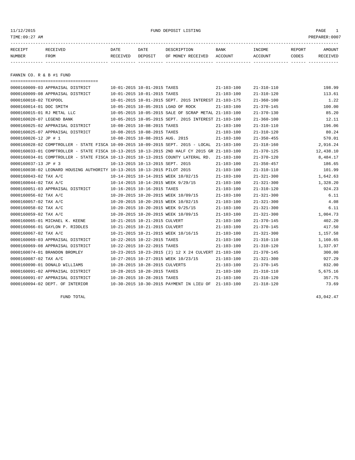11/12/2015 FUND DEPOSIT LISTING PAGE 1

| RECEIPT | <b>RECEIVED</b> | DATE     | DATE    | DESCRIPTION       | <b>BANK</b> | <b>TNCOME</b>  | REPORT | AMOUNT          |
|---------|-----------------|----------|---------|-------------------|-------------|----------------|--------|-----------------|
| NUMBER  | <b>FROM</b>     | RECEIVED | DEPOSIT | OF MONEY RECEIVED | ACCOUNT     | <b>ACCOUNT</b> | CODES  | <b>RECEIVED</b> |
|         |                 |          |         |                   |             |                |        |                 |

FANNIN CO. R & B #1 FUND

| ======================================                                                       |                                                      |                  |                  |           |
|----------------------------------------------------------------------------------------------|------------------------------------------------------|------------------|------------------|-----------|
| 0000160009-03 APPRAISAL DISTRICT                                                             | 10-01-2015 10-01-2015 TAXES                          | $21 - 103 - 100$ | $21 - 310 - 110$ | 198.99    |
| 0000160009-08 APPRAISAL DISTRICT                                                             | 10-01-2015 10-01-2015 TAXES                          | $21 - 103 - 100$ | $21 - 310 - 120$ | 113.61    |
| 0000160010-02 TEXPOOL                                                                        | 10-01-2015 10-01-2015 SEPT. 2015 INTEREST 21-103-175 |                  | $21 - 360 - 100$ | 1.22      |
| 0000160014-01 DOC SMITH                                                                      | 10-05-2015 10-05-2015 LOAD OF ROCK                   | $21 - 103 - 100$ | $21 - 370 - 145$ | 100.00    |
| 0000160015-01 RJ METAL LLC                                                                   | 10-05-2015 10-05-2015 SALE OF SCRAP METAL 21-103-100 |                  | $21 - 370 - 130$ | 85.20     |
| 0000160020-07 LEGEND BANK                                                                    | 10-05-2015 10-05-2015 SEPT. 2015 INTEREST 21-103-100 |                  | $21 - 360 - 100$ | 12.11     |
| 0000160025-02 APPRAISAL DISTRICT                                                             | 10-08-2015 10-08-2015 TAXES                          | $21 - 103 - 100$ | $21 - 310 - 110$ | 196.06    |
| 0000160025-07 APPRAISAL DISTRICT                                                             | 10-08-2015 10-08-2015 TAXES                          | $21 - 103 - 100$ | $21 - 310 - 120$ | 80.24     |
| 0000160026-12 JP # 1                                                                         | 10-08-2015 10-08-2015 AUG. 2015                      | $21 - 103 - 100$ | $21 - 350 - 455$ | 570.01    |
| 0000160028-02 COMPTROLLER - STATE FISCA 10-09-2015 10-09-2015 SEPT. 2015 - LOCAL 21-103-100  |                                                      |                  | $21 - 318 - 160$ | 2,916.24  |
| 0000160033-01 COMPTROLLER - STATE FISCA 10-13-2015 10-13-2015 2ND HALF CY 2015 GR 21-103-100 |                                                      |                  | $21 - 370 - 125$ | 12,438.10 |
| 0000160034-01 COMPTROLLER - STATE FISCA 10-13-2015 10-13-2015 COUNTY LATERAL RD. 21-103-100  |                                                      |                  | $21 - 370 - 120$ | 8,484.17  |
| 0000160037-13 JP # 3                                                                         | 10-13-2015 10-13-2015 SEPT. 2015                     | $21 - 103 - 100$ | $21 - 350 - 457$ | 186.65    |
| 0000160038-02 LEONARD HOUSING AUTHORITY 10-13-2015 10-13-2015 PILOT 2015                     |                                                      | $21 - 103 - 100$ | $21 - 310 - 110$ | 101.99    |
| 0000160043-02 TAX A/C                                                                        | 10-14-2015 10-14-2015 WEEK 10/02/15                  | $21 - 103 - 100$ | $21 - 321 - 300$ | 1,642.63  |
| 0000160044-02 TAX A/C                                                                        | 10-14-2015 10-14-2015 WEEK 9/29/15                   | $21 - 103 - 100$ | $21 - 321 - 300$ | 1,328.20  |
| 0000160051-03 APPRAISAL DISTRICT 10-16-2015 10-16-2015 TAXES                                 |                                                      | $21 - 103 - 100$ | $21 - 310 - 120$ | 924.23    |
| 0000160056-02 TAX A/C                                                                        | 10-20-2015 10-20-2015 WEEK 10/09/15                  | $21 - 103 - 100$ | $21 - 321 - 300$ | 6.11      |
| 0000160057-02 TAX A/C                                                                        | 10-20-2015 10-20-2015 WEEK 10/02/15                  | $21 - 103 - 100$ | $21 - 321 - 300$ | 4.08      |
| 0000160058-02 TAX A/C                                                                        | 10-20-2015 10-20-2015 WEEK 9/25/15                   | $21 - 103 - 100$ | $21 - 321 - 300$ | 6.11      |
| 0000160059-02 TAX A/C                                                                        | 10-20-2015 10-20-2015 WEEK 10/09/15                  | $21 - 103 - 100$ | $21 - 321 - 300$ | 1,004.73  |
| 0000160065-01 MICHAEL K. KEENE                                                               | 10-21-2015 10-21-2015 CULVERT                        | $21 - 103 - 100$ | $21 - 370 - 145$ | 402.20    |
| 0000160066-01 GAYLON P. RIDDLES                                                              | 10-21-2015 10-21-2015 CULVERT                        | $21 - 103 - 100$ | $21 - 370 - 145$ | 417.50    |
| 0000160067-02 TAX A/C                                                                        | 10-21-2015 10-21-2015 WEEK 10/16/15                  | $21 - 103 - 100$ | $21 - 321 - 300$ | 1,157.58  |
| 0000160069-03 APPRAISAL DISTRICT                                                             | 10-22-2015 10-22-2015 TAXES                          | $21 - 103 - 100$ | $21 - 310 - 110$ | 1,160.65  |
| 0000160069-08 APPRAISAL DISTRICT                                                             | 10-22-2015 10-22-2015 TAXES                          | $21 - 103 - 100$ | $21 - 310 - 120$ | 1,337.97  |
| 0000160074-01 BRANDON BROMLEY                                                                | 10-23-2015 10-23-2015 (2) 12 X 24 CULVERT 21-103-100 |                  | $21 - 370 - 145$ | 300.00    |
| 0000160087-02 TAX A/C                                                                        | 10-27-2015 10-27-2015 WEEK 10/23/15                  | $21 - 103 - 100$ | $21 - 321 - 300$ | 927.29    |
| 0000160090-01 DONALD WILLIAMS                                                                | 10-28-2015 10-28-2015 CULVERTS                       | $21 - 103 - 100$ | $21 - 370 - 145$ | 832.00    |
| 0000160091-02 APPRAISAL DISTRICT                                                             | 10-28-2015 10-28-2015 TAXES                          | $21 - 103 - 100$ | $21 - 310 - 110$ | 5,675.16  |
| 0000160091-07 APPRAISAL DISTRICT                                                             | 10-28-2015 10-28-2015 TAXES                          | $21 - 103 - 100$ | $21 - 310 - 120$ | 357.75    |
| 0000160094-02 DEPT. OF INTERIOR                                                              | 10-30-2015 10-30-2015 PAYMENT IN LIEU OF 21-103-100  |                  | $21 - 318 - 120$ | 73.69     |

FUND TOTAL  $43,042.47$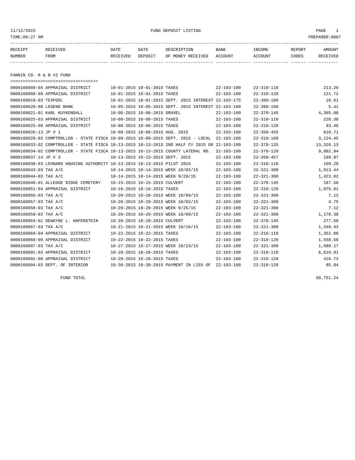11/12/2015 FUND DEPOSIT LISTING PAGE 1

| RECEIPT | RECEIVED | DATE     | DATE    | DESCRIPTION               | <b>BANK</b> | INCOME  | REPORT | AMOUNT   |
|---------|----------|----------|---------|---------------------------|-------------|---------|--------|----------|
| NUMBER  | FROM     | RECEIVED | DEPOSIT | OF MONEY RECEIVED ACCOUNT |             | ACCOUNT | CODES  | RECEIVED |
|         |          |          |         |                           |             |         |        |          |

FANNIN CO. R & B #2 FUND

|                           | -------------------------------------                                                        |                                  |                                                      |                  |                  |           |
|---------------------------|----------------------------------------------------------------------------------------------|----------------------------------|------------------------------------------------------|------------------|------------------|-----------|
|                           | 0000160009-04 APPRAISAL DISTRICT                                                             | 10-01-2015 10-01-2015 TAXES      |                                                      | $22 - 103 - 100$ | $22 - 310 - 110$ | 213.20    |
|                           | 0000160009-09 APPRAISAL DISTRICT                                                             | 10-01-2015 10-01-2015 TAXES      |                                                      | $22 - 103 - 100$ | $22 - 310 - 120$ | 121.72    |
| 0000160010-03 TEXPOOL     |                                                                                              |                                  | 10-01-2015 10-01-2015 SEPT. 2015 INTEREST 22-103-175 |                  | $22 - 360 - 100$ | 10.61     |
| 0000160020-08 LEGEND BANK |                                                                                              |                                  | 10-05-2015 10-05-2015 SEPT. 2015 INTEREST 22-103-100 |                  | $22 - 360 - 100$ | 5.41      |
|                           | 0000160021-01 KARL KUYKENDALL                                                                | 10-06-2015 10-06-2015 GRAVEL     |                                                      | $22 - 103 - 100$ | $22 - 370 - 145$ | 4,305.00  |
|                           | 0000160025-03 APPRAISAL DISTRICT                                                             | 10-08-2015 10-08-2015 TAXES      |                                                      | $22 - 103 - 100$ | $22 - 310 - 110$ | 228.38    |
|                           | 0000160025-08 APPRAISAL DISTRICT                                                             | 10-08-2015 10-08-2015 TAXES      |                                                      | $22 - 103 - 100$ | $22 - 310 - 120$ | 93.46     |
| 0000160026-13 JP # 1      |                                                                                              | 10-08-2015 10-08-2015 AUG. 2015  |                                                      | $22 - 103 - 100$ | $22 - 350 - 455$ | 610.71    |
|                           | 0000160028-03 COMPTROLLER - STATE FISCA 10-09-2015 10-09-2015 SEPT. 2015 - LOCAL             |                                  |                                                      | 22-103-100       | $22 - 318 - 160$ | 3,124.45  |
|                           | 0000160033-02 COMPTROLLER - STATE FISCA 10-13-2015 10-13-2015 2ND HALF CY 2015 GR 22-103-100 |                                  |                                                      |                  | $22 - 370 - 125$ | 13,326.13 |
|                           | 0000160034-02 COMPTROLLER - STATE FISCA 10-13-2015 10-13-2015 COUNTY LATERAL RD.             |                                  |                                                      | $22 - 103 - 100$ | $22 - 370 - 120$ | 9,882.94  |
| 0000160037-14 JP # 3      |                                                                                              | 10-13-2015 10-13-2015 SEPT. 2015 |                                                      | $22 - 103 - 100$ | $22 - 350 - 457$ | 199.97    |
|                           | 0000160038-03 LEONARD HOUSING AUTHORITY 10-13-2015 10-13-2015 PILOT 2015                     |                                  |                                                      | $22 - 103 - 100$ | $22 - 310 - 110$ | 109.28    |
| 0000160043-03 TAX A/C     |                                                                                              |                                  | 10-14-2015 10-14-2015 WEEK 10/02/15                  | $22 - 103 - 100$ | $22 - 321 - 300$ | 1,913.44  |
| 0000160044-03 TAX A/C     |                                                                                              |                                  | 10-14-2015 10-14-2015 WEEK 9/29/15                   | $22 - 103 - 100$ | $22 - 321 - 300$ | 1,423.02  |
|                           | 0000160046-01 ALLEDGE RIDGE CEMETERY                                                         | 10-15-2015 10-15-2015 CULVERT    |                                                      | $22 - 103 - 100$ | $22 - 370 - 145$ | 187.50    |
|                           | 0000160051-04 APPRAISAL DISTRICT                                                             | 10-16-2015 10-16-2015 TAXES      |                                                      | $22 - 103 - 100$ | $22 - 310 - 120$ | 1,076.61  |
| 0000160056-03 TAX A/C     |                                                                                              |                                  | 10-20-2015 10-20-2015 WEEK 10/09/15                  | $22 - 103 - 100$ | $22 - 321 - 300$ | 7.12      |
| 0000160057-03 TAX A/C     |                                                                                              |                                  | 10-20-2015 10-20-2015 WEEK 10/02/15                  | $22 - 103 - 100$ | $22 - 321 - 300$ | 4.75      |
| 0000160058-03 TAX A/C     |                                                                                              |                                  | 10-20-2015 10-20-2015 WEEK 9/25/15                   | $22 - 103 - 100$ | $22 - 321 - 300$ | 7.12      |
| 0000160059-03 TAX A/C     |                                                                                              |                                  | 10-20-2015 10-20-2015 WEEK 10/09/15                  | $22 - 103 - 100$ | $22 - 321 - 300$ | 1,170.38  |
|                           | 0000160064-01 DEWAYNE L. HAFENSTEIN                                                          | 10-20-2015 10-20-2015 CULVERT    |                                                      | $22 - 103 - 100$ | $22 - 370 - 145$ | 277.50    |
| 0000160067-03 TAX A/C     |                                                                                              |                                  | 10-21-2015 10-21-2015 WEEK 10/16/15                  | $22 - 103 - 100$ | $22 - 321 - 300$ | 1,348.43  |
|                           | 0000160069-04 APPRAISAL DISTRICT                                                             | 10-22-2015 10-22-2015 TAXES      |                                                      | $22 - 103 - 100$ | $22 - 310 - 110$ | 1,352.00  |
|                           | 0000160069-09 APPRAISAL DISTRICT                                                             | 10-22-2015 10-22-2015 TAXES      |                                                      | $22 - 103 - 100$ | $22 - 310 - 120$ | 1,558.56  |
| 0000160087-03 TAX A/C     |                                                                                              |                                  | 10-27-2015 10-27-2015 WEEK 10/23/15                  | $22 - 103 - 100$ | $22 - 321 - 300$ | 1,080.17  |
|                           | 0000160091-03 APPRAISAL DISTRICT                                                             | 10-28-2015 10-28-2015 TAXES      |                                                      | $22 - 103 - 100$ | $22 - 310 - 110$ | 6,610.81  |
|                           | 0000160091-08 APPRAISAL DISTRICT                                                             | 10-28-2015 10-28-2015 TAXES      |                                                      | $22 - 103 - 100$ | $22 - 310 - 120$ | 416.73    |
|                           | 0000160094-03 DEPT. OF INTERIOR                                                              |                                  | 10-30-2015 10-30-2015 PAYMENT IN LIEU OF             | 22-103-100       | $22 - 318 - 120$ | 85.84     |

FUND TOTAL  $50,751.24$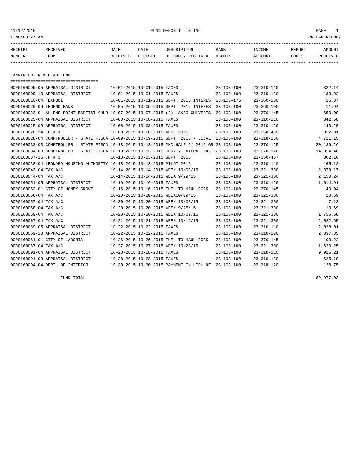| 11/12/2015                | FUND DEPOSIT LISTING<br>TIME:09:27 AM |                  |                                         |                                                      |                        |                   |                 | PAGE<br>$\mathbf{1}$<br>PREPARER:0007 |
|---------------------------|---------------------------------------|------------------|-----------------------------------------|------------------------------------------------------|------------------------|-------------------|-----------------|---------------------------------------|
| RECEIPT<br>NUMBER         | RECEIVED<br>FROM                      | DATE<br>RECEIVED | DATE<br>DEPOSIT                         | DESCRIPTION<br>OF MONEY RECEIVED                     | <b>BANK</b><br>ACCOUNT | INCOME<br>ACCOUNT | REPORT<br>CODES | AMOUNT<br>RECEIVED                    |
| FANNIN CO. R & B #3 FUND  |                                       |                  |                                         |                                                      |                        |                   |                 |                                       |
|                           |                                       |                  |                                         |                                                      |                        |                   |                 |                                       |
|                           | 0000160009-05 APPRAISAL DISTRICT      |                  | 10-01-2015 10-01-2015 TAXES             |                                                      | $23 - 103 - 100$       | 23-310-110        |                 | 322.14                                |
|                           | 0000160009-10 APPRAISAL DISTRICT      |                  | $10 - 01 - 2015$ $10 - 01 - 2015$ TAXES |                                                      | $23 - 103 - 100$       | $23 - 310 - 120$  |                 | 183.92                                |
| 0000160010-04 TEXPOOL     |                                       |                  |                                         | 10-01-2015 10-01-2015 SEPT, 2015 INTEREST 23-103-175 |                        | $23 - 360 - 100$  |                 | 15.87                                 |
| 0000160020-09 LEGEND BANK |                                       |                  |                                         | 10-05-2015 10-05-2015 SEPT. 2015 INTEREST 23-103-100 |                        | $23 - 360 - 100$  |                 | 11.94                                 |

|                       | <u>UUULUUUAU UJ BEUBIND DAININ</u>                                                           |                                  |                             | TA AN TANTA TA AN TARTI MELI TATA TIMENI TA TAN TAA |                  | 23 JUV 100       | エエ・ンェ     |
|-----------------------|----------------------------------------------------------------------------------------------|----------------------------------|-----------------------------|-----------------------------------------------------|------------------|------------------|-----------|
|                       | 0000160023-01 ALLENS POINT BAPTIST CHUR 10-07-2015 10-07-2015 (2) 18X30 CULVERTS             |                                  |                             |                                                     | 23-103-100       | $23 - 370 - 145$ | 650.00    |
|                       | 0000160025-04 APPRAISAL DISTRICT                                                             | 10-08-2015 10-08-2015 TAXES      |                             |                                                     | $23 - 103 - 100$ | $23 - 310 - 110$ | 342.58    |
|                       | 0000160025-09 APPRAISAL DISTRICT                                                             | 10-08-2015 10-08-2015 TAXES      |                             |                                                     | $23 - 103 - 100$ | $23 - 310 - 120$ | 140.20    |
| 0000160026-14 JP # 1  |                                                                                              | 10-08-2015 10-08-2015 AUG. 2015  |                             |                                                     | $23 - 103 - 100$ | $23 - 350 - 455$ | 922.81    |
|                       | 0000160028-04 COMPTROLLER - STATE FISCA 10-09-2015 10-09-2015 SEPT. 2015 - LOCAL             |                                  |                             |                                                     | $23 - 103 - 100$ | $23 - 318 - 160$ | 4,721.15  |
|                       | 0000160033-03 COMPTROLLER - STATE FISCA 10-13-2015 10-13-2015 2ND HALF CY 2015 GR 23-103-100 |                                  |                             |                                                     |                  | $23 - 370 - 125$ | 20,136.26 |
|                       | 0000160034-03 COMPTROLLER - STATE FISCA 10-13-2015 10-13-2015 COUNTY LATERAL RD.             |                                  |                             |                                                     | $23 - 103 - 100$ | $23 - 370 - 120$ | 14,824.40 |
| 0000160037-15 JP # 3  |                                                                                              | 10-13-2015 10-13-2015 SEPT. 2015 |                             |                                                     | $23 - 103 - 100$ | $23 - 350 - 457$ | 302.16    |
|                       | 0000160038-04 LEONARD HOUSING AUTHORITY 10-13-2015 10-13-2015 PILOT 2015                     |                                  |                             |                                                     | $23 - 103 - 100$ | $23 - 310 - 110$ | 165.12    |
| 0000160043-04 TAX A/C |                                                                                              |                                  |                             | 10-14-2015 10-14-2015 WEEK 10/02/15                 | $23 - 103 - 100$ | $23 - 321 - 300$ | 2,870.17  |
| 0000160044-04 TAX A/C |                                                                                              |                                  |                             | 10-14-2015 10-14-2015 WEEK 9/29/15                  | $23 - 103 - 100$ | $23 - 321 - 300$ | 2,150.24  |
|                       | 0000160051-05 APPRAISAL DISTRICT                                                             | 10-16-2015 10-16-2015 TAXES      |                             |                                                     | $23 - 103 - 100$ | $23 - 310 - 120$ | 1,614.91  |
|                       | 0000160052-01 CITY OF HONEY GROVE                                                            |                                  |                             | 10-16-2015 10-16-2015 FUEL TO HAUL ROCK             | $23 - 103 - 100$ | $23 - 370 - 145$ | 40.04     |
| 0000160056-04 TAX A/C |                                                                                              |                                  |                             | 10-20-2015 10-20-2015 WEEK10/09/15                  | $23 - 103 - 100$ | $23 - 321 - 300$ | 10.69     |
| 0000160057-04 TAX A/C |                                                                                              |                                  |                             | 10-20-2015 10-20-2015 WEEK 10/02/15                 | $23 - 103 - 100$ | $23 - 321 - 300$ | 7.12      |
| 0000160058-04 TAX A/C |                                                                                              |                                  |                             | 10-20-2015 10-20-2015 WEEK 9/25/15                  | $23 - 103 - 100$ | $23 - 321 - 300$ | 10.69     |
| 0000160059-04 TAX A/C |                                                                                              |                                  |                             | 10-20-2015 10-20-2015 WEEK 10/09/15                 | $23 - 103 - 100$ | $23 - 321 - 300$ | 1,755.58  |
| 0000160067-04 TAX A/C |                                                                                              |                                  |                             | 10-21-2015 10-21-2015 WEEK 10/16/15                 | $23 - 103 - 100$ | $23 - 321 - 300$ | 2,022.65  |
|                       | 0000160069-05 APPRAISAL DISTRICT                                                             |                                  | 10-22-2015 10-22-2015 TAXES |                                                     | $23 - 103 - 100$ | $23 - 310 - 110$ | 2,028.01  |
|                       | 0000160069-10 APPRAISAL DISTRICT                                                             |                                  | 10-22-2015 10-22-2015 TAXES |                                                     | $23 - 103 - 100$ | $23 - 310 - 120$ | 2,337.85  |
|                       | 0000160081-01 CITY OF LADONIA                                                                |                                  |                             | 10-26-2015 10-26-2015 FUEL TO HAUL ROCK             | $23 - 103 - 100$ | $23 - 370 - 145$ | 100.22    |
| 0000160087-04 TAX A/C |                                                                                              |                                  |                             | 10-27-2015 10-27-2015 WEEK 10/23/15                 | $23 - 103 - 100$ | $23 - 321 - 300$ | 1,620.25  |
|                       | 0000160091-04 APPRAISAL DISTRICT                                                             |                                  | 10-28-2015 10-28-2015 TAXES |                                                     | $23 - 103 - 100$ | $23 - 310 - 110$ | 9,916.21  |
|                       | 0000160091-09 APPRAISAL DISTRICT                                                             |                                  | 10-28-2015 10-28-2015 TAXES |                                                     | $23 - 103 - 100$ | $23 - 310 - 120$ | 625.10    |
|                       | 0000160094-04 DEPT. OF INTERIOR                                                              |                                  |                             | 10-30-2015 10-30-2015 PAYMENT IN LIEU OF            | $23 - 103 - 100$ | $23 - 318 - 120$ | 128.75    |

FUND TOTAL  $69,977.03$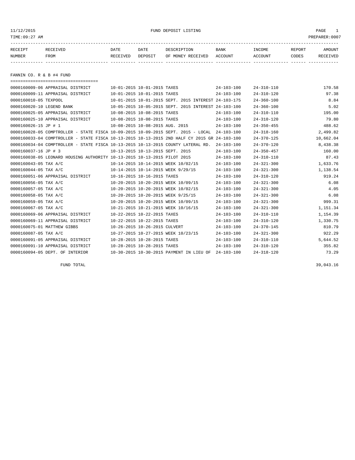## 11/12/2015 FUND DEPOSIT LISTING PAGE 1

| RECEIPT | <b>RECEIVED</b> | DATE     | DATE    | דידס דפר/פתח         | <b>BANK</b> | INCOME  | REPORT | AMOUNT          |
|---------|-----------------|----------|---------|----------------------|-------------|---------|--------|-----------------|
| NUMBER  | FROM            | RECEIVED | DEPOSIT | RECEIVED<br>OF MONEY | ACCOUNT     | ACCOUNT | CODES  | <b>RECEIVED</b> |
|         |                 |          |         |                      |             |         |        |                 |

FANNIN CO. R & B #4 FUND

| ======================================                                                       |                                                      |                  |                  |           |
|----------------------------------------------------------------------------------------------|------------------------------------------------------|------------------|------------------|-----------|
| 0000160009-06 APPRAISAL DISTRICT                                                             | 10-01-2015 10-01-2015 TAXES                          | $24 - 103 - 100$ | $24 - 310 - 110$ | 170.58    |
| 0000160009-11 APPRAISAL DISTRICT                                                             | 10-01-2015 10-01-2015 TAXES                          | $24 - 103 - 100$ | $24 - 310 - 120$ | 97.38     |
| 0000160010-05 TEXPOOL                                                                        | 10-01-2015 10-01-2015 SEPT, 2015 INTEREST 24-103-175 |                  | $24 - 360 - 100$ | 8.84      |
| 0000160020-10 LEGEND BANK                                                                    | 10-05-2015 10-05-2015 SEPT. 2015 INTEREST 24-103-100 |                  | $24 - 360 - 100$ | 5.02      |
| 0000160025-05 APPRAISAL DISTRICT                                                             | 10-08-2015 10-08-2015 TAXES                          | $24 - 103 - 100$ | $24 - 310 - 110$ | 195.00    |
| 0000160025-10 APPRAISAL DISTRICT                                                             | 10-08-2015 10-08-2015 TAXES                          | $24 - 103 - 100$ | $24 - 310 - 120$ | 79.80     |
| 0000160026-15 JP # 1                                                                         | 10-08-2015 10-08-2015 AUG. 2015                      | $24 - 103 - 100$ | $24 - 350 - 455$ | 488.62    |
| 0000160028-05 COMPTROLLER - STATE FISCA 10-09-2015 10-09-2015 SEPT. 2015 - LOCAL             |                                                      | $24 - 103 - 100$ | $24 - 318 - 160$ | 2,499.82  |
| 0000160033-04 COMPTROLLER - STATE FISCA 10-13-2015 10-13-2015 2ND HALF CY 2015 GR 24-103-100 |                                                      |                  | $24 - 370 - 125$ | 10,662.04 |
| 0000160034-04 COMPTROLLER - STATE FISCA 10-13-2015 10-13-2015 COUNTY LATERAL RD.             |                                                      | $24 - 103 - 100$ | $24 - 370 - 120$ | 8,438.38  |
| 0000160037-16 JP # 3                                                                         | 10-13-2015 10-13-2015 SEPT. 2015                     | $24 - 103 - 100$ | $24 - 350 - 457$ | 160.00    |
| 0000160038-05 LEONARD HOUSING AUTHORITY 10-13-2015 10-13-2015 PILOT 2015                     |                                                      | $24 - 103 - 100$ | $24 - 310 - 110$ | 87.43     |
| 0000160043-05 TAX A/C                                                                        | 10-14-2015 10-14-2015 WEEK 10/02/15                  | $24 - 103 - 100$ | $24 - 321 - 300$ | 1,633.76  |
| 0000160044-05 TAX A/C                                                                        | 10-14-2015 10-14-2015 WEEK 9/29/15                   | $24 - 103 - 100$ | $24 - 321 - 300$ | 1,138.54  |
| 0000160051-06 APPRAISAL DISTRICT                                                             | 10-16-2015 10-16-2015 TAXES                          | $24 - 103 - 100$ | $24 - 310 - 120$ | 919.24    |
| 0000160056-05 TAX A/C                                                                        | 10-20-2015 10-20-2015 WEEK 10/09/15                  | $24 - 103 - 100$ | $24 - 321 - 300$ | 6.08      |
| 0000160057-05 TAX A/C                                                                        | 10-20-2015 10-20-2015 WEEK 10/02/15                  | $24 - 103 - 100$ | $24 - 321 - 300$ | 4.05      |
| 0000160058-05 TAX A/C                                                                        | 10-20-2015 10-20-2015 WEEK 9/25/15                   | $24 - 103 - 100$ | $24 - 321 - 300$ | 6.08      |
| 0000160059-05 TAX A/C                                                                        | 10-20-2015 10-20-2015 WEEK 10/09/15                  | $24 - 103 - 100$ | $24 - 321 - 300$ | 999.31    |
| 0000160067-05 TAX A/C                                                                        | 10-21-2015 10-21-2015 WEEK 10/16/15                  | $24 - 103 - 100$ | $24 - 321 - 300$ | 1,151.34  |
| 0000160069-06 APPRAISAL DISTRICT                                                             | 10-22-2015 10-22-2015 TAXES                          | $24 - 103 - 100$ | $24 - 310 - 110$ | 1,154.39  |
| 0000160069-11 APPRAISAL DISTRICT                                                             | 10-22-2015 10-22-2015 TAXES                          | $24 - 103 - 100$ | $24 - 310 - 120$ | 1,330.75  |
| 0000160075-01 MATTHEW GIBBS                                                                  | 10-26-2015 10-26-2015 CULVERT                        | $24 - 103 - 100$ | $24 - 370 - 145$ | 810.79    |
| 0000160087-05 TAX A/C                                                                        | 10-27-2015 10-27-2015 WEEK 10/23/15                  | $24 - 103 - 100$ | $24 - 321 - 300$ | 922.29    |
| 0000160091-05 APPRAISAL DISTRICT                                                             | 10-28-2015 10-28-2015 TAXES                          | $24 - 103 - 100$ | $24 - 310 - 110$ | 5,644.52  |
| 0000160091-10 APPRAISAL DISTRICT                                                             | 10-28-2015 10-28-2015 TAXES                          | $24 - 103 - 100$ | $24 - 310 - 120$ | 355.82    |
| 0000160094-05 DEPT. OF INTERIOR                                                              | 10-30-2015 10-30-2015 PAYMENT IN LIEU OF 24-103-100  |                  | $24 - 318 - 120$ | 73.29     |
|                                                                                              |                                                      |                  |                  |           |

FUND TOTAL  $39,043.16$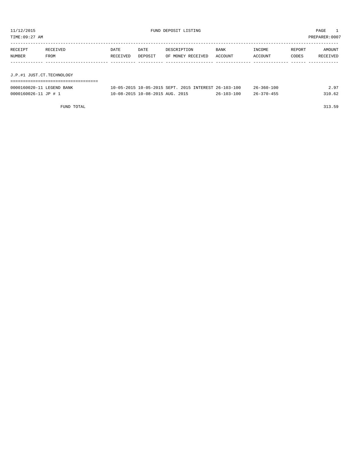| 11/12/2015<br>TIME: 09:27 AM |                  |                  | FUND DEPOSIT LISTING            |                                                      | PAGE<br>PREPARER: 0007 |                   |                 |                    |
|------------------------------|------------------|------------------|---------------------------------|------------------------------------------------------|------------------------|-------------------|-----------------|--------------------|
| RECEIPT<br>NUMBER            | RECEIVED<br>FROM | DATE<br>RECEIVED | DATE<br>DEPOSIT                 | DESCRIPTION<br>OF MONEY RECEIVED                     | BANK<br>ACCOUNT        | INCOME<br>ACCOUNT | REPORT<br>CODES | AMOUNT<br>RECEIVED |
|                              |                  |                  |                                 |                                                      |                        |                   |                 |                    |
| J.P.#1 JUST.CT.TECHNOLOGY    |                  |                  |                                 |                                                      |                        |                   |                 |                    |
|                              |                  |                  |                                 |                                                      |                        |                   |                 |                    |
| 0000160020-11 LEGEND BANK    |                  |                  |                                 | 10-05-2015 10-05-2015 SEPT. 2015 INTEREST 26-103-100 |                        | $26 - 360 - 100$  |                 | 2.97               |
| 0000160026-11 JP # 1         |                  |                  | 10-08-2015 10-08-2015 AUG. 2015 |                                                      | $26 - 103 - 100$       | $26 - 370 - 455$  |                 | 310.62             |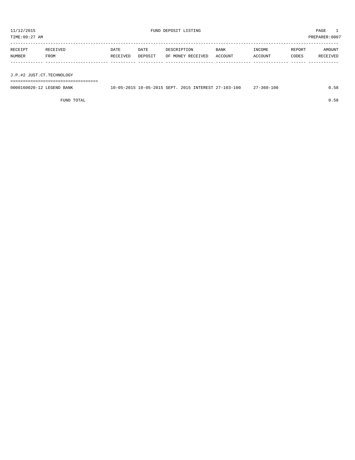TIME:09:27 AM PREPARER:0007 ----------------------------------------------------------------------------------------------------------------------------------- RECEIPT RECEIVED DATE DATE DESCRIPTION BANK INCOME REPORT AMOUNT NUMBER FROM RECEIVED DEPOSIT OF MONEY RECEIVED ACCOUNT ACCOUNT CODES RECEIVED ------------- ------------------------- ---------- ---------- ------------------- -------------- -------------- ------ ------------ J.P.#2 JUST.CT.TECHNOLOGY

===================================

| 0000160020-12 LEGEND BANK | 10-05-2015 10-05-2015 SEPT, 2015 INTEREST 27-103-100 | $7 - 360 - 100$ |  |
|---------------------------|------------------------------------------------------|-----------------|--|
|                           |                                                      |                 |  |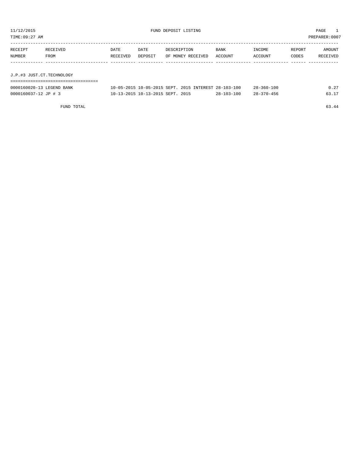| TIME: 09:27 AM            |          |          |                                  |                   |                                                      |                  |        | PREPARER: 0007 |
|---------------------------|----------|----------|----------------------------------|-------------------|------------------------------------------------------|------------------|--------|----------------|
| RECEIPT                   | RECEIVED | DATE     | DATE                             | DESCRIPTION       | BANK                                                 | INCOME           | REPORT | AMOUNT         |
| NUMBER                    | FROM     | RECEIVED | DEPOSIT                          | OF MONEY RECEIVED | ACCOUNT                                              | ACCOUNT          | CODES  | RECEIVED       |
|                           |          |          |                                  |                   |                                                      |                  |        |                |
|                           |          |          |                                  |                   |                                                      |                  |        |                |
| J.P.#3 JUST.CT.TECHNOLOGY |          |          |                                  |                   |                                                      |                  |        |                |
|                           |          |          |                                  |                   |                                                      |                  |        |                |
| 0000160020-13 LEGEND BANK |          |          |                                  |                   | 10-05-2015 10-05-2015 SEPT. 2015 INTEREST 28-103-100 | $28 - 360 - 100$ |        | 0.27           |
| 0000160037-12 JP # 3      |          |          | 10-13-2015 10-13-2015 SEPT. 2015 |                   | $28 - 103 - 100$                                     | $28 - 370 - 456$ |        | 63.17          |

FUND TOTAL 63.44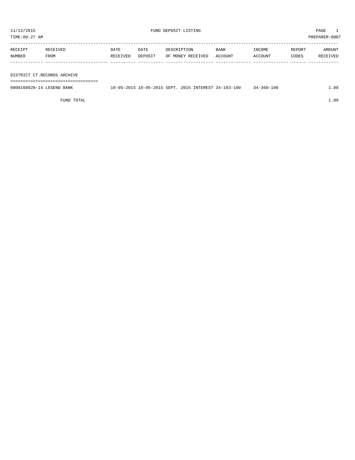TIME:09:27 AM PREPARER:0007

| RECEIPT | RECEIVED    | DATE     | DATE    | DESCRIPTION       | <b>BANK</b> | INCOME  | REPORT | AMOUNT   |
|---------|-------------|----------|---------|-------------------|-------------|---------|--------|----------|
| NUMBER  | <b>FROM</b> | RECEIVED | DEPOSIT | OF MONEY RECEIVED | ACCOUNT     | ACCOUNT | CODES  | RECEIVED |
|         |             |          |         |                   |             |         |        |          |

DISTRICT CT.RECORDS ARCHIVE

===================================

| 0000160020-14 LEGEND<br>BANK | $\sim$<br>$.05 - 20$ | 10-05-2015 SEPT. | 2015<br>INTEREST | 103-100<br>$\cdot$ 4 $-$ | 100<br>360-<br>34. | ng |
|------------------------------|----------------------|------------------|------------------|--------------------------|--------------------|----|
|                              |                      |                  |                  |                          |                    |    |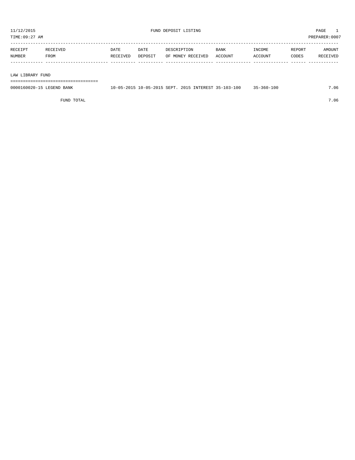TIME:09:27 AM PREPARER:0007 ----------------------------------------------------------------------------------------------------------------------------------- RECEIPT RECEIVED DATE DATE DESCRIPTION BANK INCOME REPORT AMOUNT NUMBER FROM RECEIVED DEPOSIT OF MONEY RECEIVED ACCOUNT ACCOUNT CODES RECEIVED ------------- ------------------------- ---------- ---------- ------------------- -------------- -------------- ------ ------------

LAW LIBRARY FUND

===================================

| 0000160020-15 LEGEND BANK | 10-05-2015 10-05-2015 SEPT. 2015 INTEREST 35-103-100 | $35 - 360 - 100$ | .06 |
|---------------------------|------------------------------------------------------|------------------|-----|
|                           |                                                      |                  |     |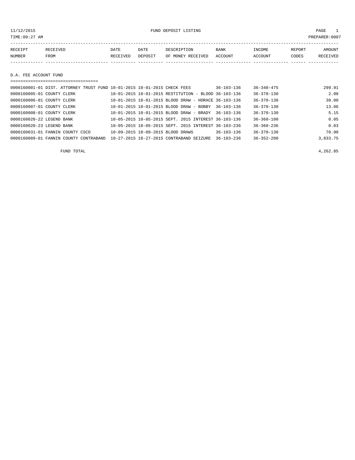11/12/2015 FUND DEPOSIT LISTING PAGE 1

| RECEIPT | <b>RECEIVED</b> | DATE            | DATE    | DESCRIPTION       | <b>BANK</b> | "NCOME  | REPORT | AMOUNT          |
|---------|-----------------|-----------------|---------|-------------------|-------------|---------|--------|-----------------|
| NUMBER  | FROM            | <b>RECEIVED</b> | DEPOSIT | OF MONEY RECEIVED | ACCOUNT     | ACCOUNT | CODES  | <b>RECEIVED</b> |
|         |                 |                 |         |                   |             |         |        |                 |

D.A. FEE ACCOUNT FUND

| 0000160001-01 DIST. ATTORNEY TRUST FUND 10-01-2015 10-01-2015 CHECK FEES |                                                      | $36 - 103 - 136$ | $36 - 340 - 475$ | 299.91   |  |  |  |  |  |
|--------------------------------------------------------------------------|------------------------------------------------------|------------------|------------------|----------|--|--|--|--|--|
| 0000160005-01 COUNTY CLERK                                               | 10-01-2015 10-01-2015 RESTITUTION - BLOOD 36-103-136 |                  | $36 - 370 - 130$ | 2.00     |  |  |  |  |  |
| 0000160006-01 COUNTY CLERK                                               | 10-01-2015 10-01-2015 BLOOD DRAW - HORACE 36-103-136 |                  | $36 - 370 - 130$ | 38.00    |  |  |  |  |  |
| 0000160007-01 COUNTY CLERK                                               | 10-01-2015 10-01-2015 BLOOD DRAW - BOBBY             | $36 - 103 - 136$ | $36 - 370 - 130$ | 13.06    |  |  |  |  |  |
| 0000160008-01 COUNTY CLERK                                               | $10-01-2015$ $10-01-2015$ BLOOD DRAW - BRADY         | $36 - 103 - 136$ | $36 - 370 - 130$ | 5.15     |  |  |  |  |  |
| 0000160020-22 LEGEND BANK                                                | 10-05-2015 10-05-2015 SEPT, 2015 INTEREST 36-103-136 |                  | $36 - 360 - 100$ | 0.05     |  |  |  |  |  |
| 0000160020-23 LEGEND BANK                                                | 10-05-2015 10-05-2015 SEPT, 2015 INTEREST 36-103-236 |                  | $36 - 360 - 236$ | 0.03     |  |  |  |  |  |
| 0000160031-01 FANNIN COUNTY CSCD                                         | 10-09-2015 10-09-2015 BLOOD DRAWS                    | $36 - 103 - 136$ | $36 - 370 - 130$ | 70.90    |  |  |  |  |  |
| 0000160089-01 FANNIN COUNTY CONTRABAND                                   | 10-27-2015 10-27-2015 CONTRABAND SEIZURE             | $36 - 103 - 236$ | $36 - 352 - 200$ | 3,833.75 |  |  |  |  |  |

FUND TOTAL 4,262.85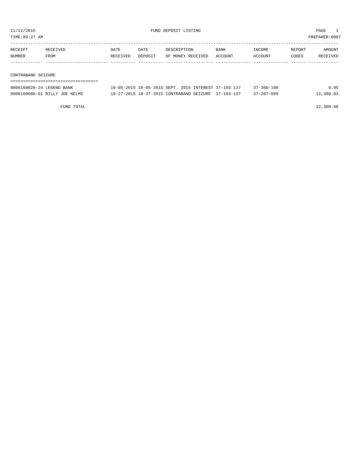TIME:09:27 AM PREPARER:0007

| RECEIPT | RECEIVED | DATE     | DATE    | DESCRIPTION       | BANK    | INCOME  | REPORT | AMOUNT   |
|---------|----------|----------|---------|-------------------|---------|---------|--------|----------|
| NUMBER  | FROM     | RECEIVED | DEPOSIT | OF MONEY RECEIVED | ACCOUNT | ACCOUNT | CODES  | RECEIVED |
|         |          |          |         |                   |         |         |        |          |
|         |          |          |         |                   |         |         |        |          |

### CONTRABAND SEIZURE

| 0000160020-24 LEGEND BANK     | 10-05-2015 10-05-2015 SEPT, 2015 INTEREST 37-103-137 |  | $37 - 360 - 100$ | 0.05      |
|-------------------------------|------------------------------------------------------|--|------------------|-----------|
| 0000160086-01 BILLY JOE NELMS | 10-27-2015 10-27-2015 CONTRABAND SEIZURE 37-103-137  |  | $37 - 207 - 099$ | 12,300.03 |

FUND TOTAL 12,300.08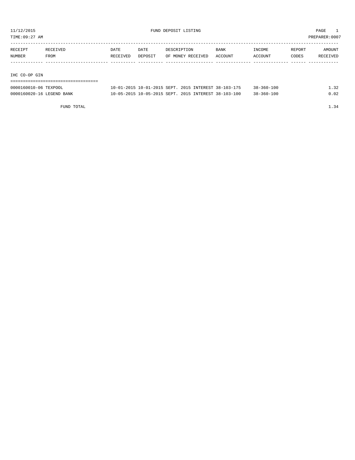TIME:09:27 AM PREPARER:0007

| RECEIPT | RECEIVED | DATE     | DATE    | DESCRIPTION       | <b>BANK</b> | INCOME         | REPORT | AMOUNT   |
|---------|----------|----------|---------|-------------------|-------------|----------------|--------|----------|
| NUMBER  | FROM     | RECEIVED | DEPOSIT | OF MONEY RECEIVED | ACCOUNT     | <b>ACCOUNT</b> | CODES  | RECEIVED |
|         |          |          |         |                   |             |                |        |          |

#### IHC CO-OP GIN

| 0000160010-06 TEXPOOL     |  |  | 10-01-2015 10-01-2015 SEPT 2015 INTEREST 38-103-175  | $38 - 360 - 100$ | .32     |
|---------------------------|--|--|------------------------------------------------------|------------------|---------|
| 0000160020-16 LEGEND BANK |  |  | 10-05-2015 10-05-2015 SEPT, 2015 INTEREST 38-103-100 | $38 - 360 - 100$ | ີ . 0 2 |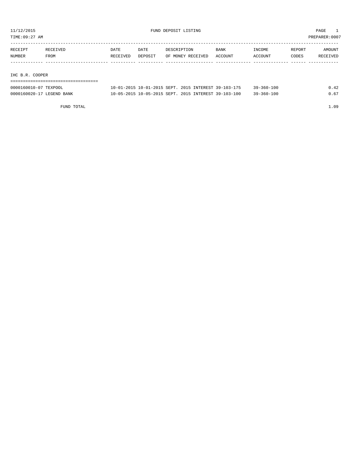TIME:09:27 AM PREPARER:0007

| RECEIPT | RECEIVED | DATE     | DATE    | DESCRIPTION       | <b>BANK</b> | INCOME  | REPORT | AMOUNT   |
|---------|----------|----------|---------|-------------------|-------------|---------|--------|----------|
| NUMBER  | FROM     | RECEIVED | DEPOSIT | OF MONEY RECEIVED | ACCOUNT     | ACCOUNT | CODES  | RECEIVED |
|         |          |          |         |                   |             |         |        |          |
|         |          |          |         |                   |             |         |        |          |

# IHC B.R. COOPER

| 0000160010-07 TEXPOOL     | 10-01-2015 10-01-2015 SEPT, 2015 INTEREST 39-103-175 | 39-360-100 | 0.42 |
|---------------------------|------------------------------------------------------|------------|------|
| 0000160020-17 LEGEND BANK | 10-05-2015 10-05-2015 SEPT, 2015 INTEREST 39-103-100 | 39-360-100 | 0.67 |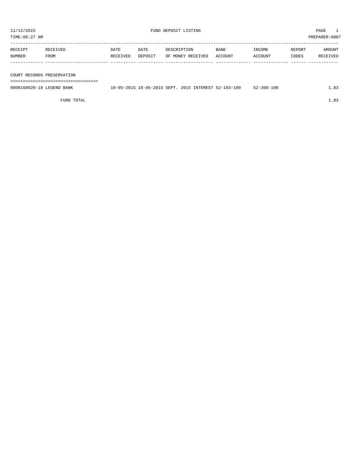TIME:09:27 AM PREPARER:0007

| RECEIPT | RECEIVED | DATE     | DATE    | DESCRIPTION       | <b>BANK</b> | INCOME  | REPORT | AMOUNT   |
|---------|----------|----------|---------|-------------------|-------------|---------|--------|----------|
| NUMBER  | FROM     | RECEIVED | DEPOSIT | OF MONEY RECEIVED | ACCOUNT     | ACCOUNT | CODES  | RECEIVED |
|         |          |          |         |                   |             |         |        |          |

COURT RECORDS PRESERVATION

===================================

| 0000160020-18 LEGEND BANK | 10-05-2015 10-05-2015 SEPT. 2015 INTEREST 52-103-100 |  | $52 - 360 - 100$ |  |
|---------------------------|------------------------------------------------------|--|------------------|--|
|                           |                                                      |  |                  |  |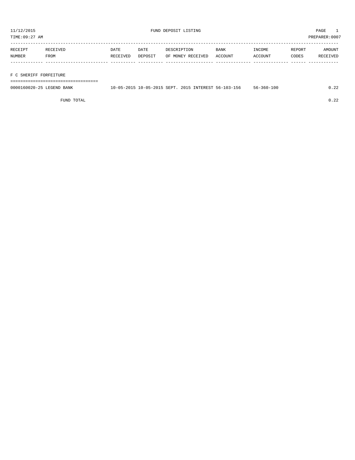TIME:09:27 AM PREPARER:0007

| RECEIPT | RECEIVED | DATE     | DATE    | DESCRIPTION       | <b>BANK</b> | INCOME  | REPORT | AMOUNT   |
|---------|----------|----------|---------|-------------------|-------------|---------|--------|----------|
| NUMBER  | FROM     | RECEIVED | DEPOSIT | OF MONEY RECEIVED | ACCOUNT     | ACCOUNT | CODES  | RECEIVED |
|         |          |          |         |                   |             |         |        |          |

# F C SHERIFF FORFEITURE

===================================

| 0000160020-25 LEGEND BANK | 10-05-2015 10-05-2015 SEPT. 2015 INTEREST 56-103-156 |  | 56-360-100 | .22 |
|---------------------------|------------------------------------------------------|--|------------|-----|
|                           |                                                      |  |            |     |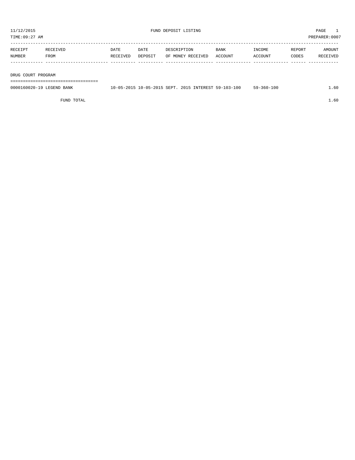TIME:09:27 AM PREPARER:0007 ----------------------------------------------------------------------------------------------------------------------------------- RECEIPT RECEIVED DATE DATE DESCRIPTION BANK INCOME REPORT AMOUNT NUMBER FROM RECEIVED DEPOSIT OF MONEY RECEIVED ACCOUNT ACCOUNT CODES RECEIVED ------------- ------------------------- ---------- ---------- ------------------- -------------- -------------- ------ ------------

DRUG COURT PROGRAM

===================================

| 0000160020-19 LEGEND BANK | 10-05-2015 10-05-2015 SEPT. 2015 INTEREST 59-103-100 | $59 - 360 - 100$ | $\sim$ $\sim$<br>. . 60 |
|---------------------------|------------------------------------------------------|------------------|-------------------------|
|                           |                                                      |                  |                         |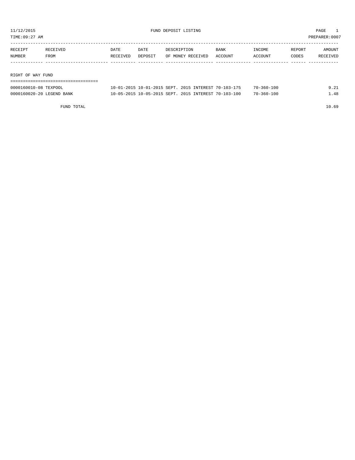TIME:09:27 AM PREPARER:0007

| RECEIPT           | RECEIVED | DATE     | DATE    | DESCRIPTION       | BANK    | INCOME  | REPORT | AMOUNT   |
|-------------------|----------|----------|---------|-------------------|---------|---------|--------|----------|
| NUMBER            | FROM     | RECEIVED | DEPOSIT | OF MONEY RECEIVED | ACCOUNT | ACCOUNT | CODES  | RECEIVED |
|                   |          |          |         |                   |         |         |        |          |
|                   |          |          |         |                   |         |         |        |          |
| RIGHT OF WAY FUND |          |          |         |                   |         |         |        |          |

| 0000160010-08 TEXPOOL     | 10-01-2015 10-01-2015 SEPT, 2015 INTEREST 70-103-175 | 70-360-100 | 9.21 |
|---------------------------|------------------------------------------------------|------------|------|
| 0000160020-20 LEGEND BANK | 10-05-2015 10-05-2015 SEPT, 2015 INTEREST 70-103-100 | 70-360-100 | 1.48 |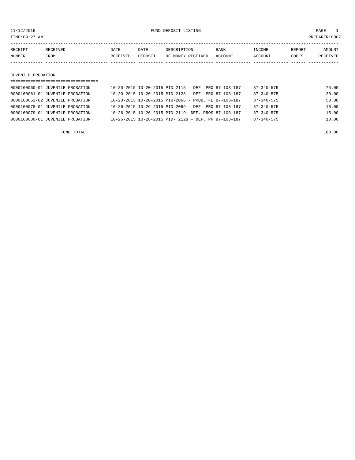11/12/2015 FUND DEPOSIT LISTING PAGE 1

| RECEIPT | <b>TEIVED</b> | DATE     | DATE    | PESCRIPTION          | <b>BANK</b>    | INCOME  | REPORT | AMOUNT        |
|---------|---------------|----------|---------|----------------------|----------------|---------|--------|---------------|
| NUMBER  | FROM          | RECEIVED | DEPOSIT | RECEIVED<br>OF MONEY | <b>ACCOUNT</b> | ACCOUNT | ~ODES  | TVEF<br>RECE. |
|         |               |          |         |                      |                |         |        |               |

#### JUVENILE PROBATION

| ==================================== |                                                            |                  |       |
|--------------------------------------|------------------------------------------------------------|------------------|-------|
| 0000160060-01 JUVENILE PROBATION     | 10-20-2015 10-20-2015 PID-2115 - DEF. PRO 87-103-187       | $87 - 340 - 575$ | 75.00 |
| 0000160061-01 JUVENILE PROBATION     | $10-20-2015$ $10-20-2015$ PID-2128 - DEF. PRO 87-103-187   | $87 - 340 - 575$ | 20.00 |
| 0000160062-02 JUVENILE PROBATION     | 10-20-2015 10-20-2015 PID-2066 - PROB. FE 87-103-187       | $87 - 340 - 575$ | 50.00 |
| 0000160078-01 JUVENILE PROBATION     | $10-26-2015$ $10-26-2015$ PID-2069 - DEF. PRO 87-103-187   | $87 - 340 - 575$ | 10.00 |
| 0000160079-01 JUVENILE PROBATION     | 10-26-2015 10-26-2015 PID-2119- DEF. PROS 87-103-187       | $87 - 340 - 575$ | 15.00 |
| 0000160080-01 JUVENILE PROBATION     | $10-26-2015$ $10-26-2015$ PID- $2128$ - DEF. PR 87-103-187 | $87 - 340 - 575$ | 10.00 |
|                                      |                                                            |                  |       |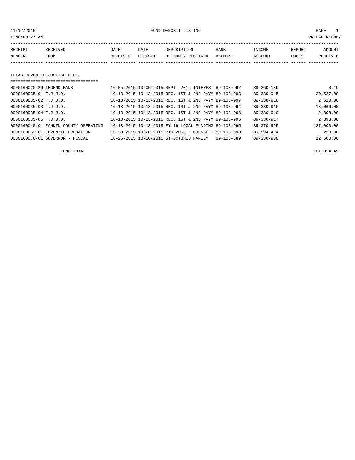11/12/2015 FUND DEPOSIT LISTING PAGE 1

| RECEIPT | <b>RECEIVED</b> | DATE            | DATE    | DESCRIPTION       | <b>BANK</b> | INCOME  | REPORT | AMOUNT          |
|---------|-----------------|-----------------|---------|-------------------|-------------|---------|--------|-----------------|
| NUMBER  | FROM            | <b>RECEIVED</b> | DEPOSIT | OF MONEY RECEIVED | ACCOUNT     | ACCOUNT | CODES  | <b>RECEIVED</b> |
|         |                 |                 |         |                   |             |         |        |                 |

## TEXAS JUVENILE JUSTICE DEPT.

| 0000160020-26 LEGEND BANK             | 10-05-2015 10-05-2015 SEPT, 2015 INTEREST 89-103-992  | $89 - 360 - 189$ | 0.49       |
|---------------------------------------|-------------------------------------------------------|------------------|------------|
| $0000160035 - 01$ T.J.J.D.            | 10-13-2015 10-13-2015 REC. 1ST & 2ND PAYM 89-103-993  | 89-330-915       | 20,527.00  |
| $0000160035 - 02$ T.J.J.D.            | 10-13-2015 10-13-2015 REC. 1ST & 2ND PAYM 89-103-997  | $89 - 330 - 918$ | 2,520.00   |
| $0000160035 - 03$ T.J.J.D.            | 10-13-2015 10-13-2015 REC. 1ST & 2ND PAYM 89-103-994  | $89 - 330 - 916$ | 13,066.00  |
| $0000160035 - 04$ T.J.J.D.            | 10-13-2015 10-13-2015 REC. 1ST & 2ND PAYM 89-103-998  | $89 - 330 - 919$ | 2,808.00   |
| $0000160035 - 05$ T.J.J.D.            | 10-13-2015 10-13-2015 REC. 1ST & 2ND PAYM 89-103-996  | $89 - 330 - 917$ | 2,393.00   |
| 0000160040-01 FANNIN COUNTY OPERATING | 10-13-2015 10-13-2015 FY 16 LOCAL FUNDING 89-103-995  | $89 - 370 - 995$ | 127,000.00 |
| 0000160062-01 JUVENILE PROBATION      | 10-20-2015 10-20-2015 PID-2066 - COUNSELI 89-103-998  | $89 - 594 - 414$ | 210.00     |
| $0000160076 - 01$ GOVERNOR - FISCAL   | 10-26-2015 10-26-2015 STRUCTURED FAMILY<br>89-103-689 | $89 - 330 - 908$ | 12,500.00  |

FUND TOTAL 181,024.49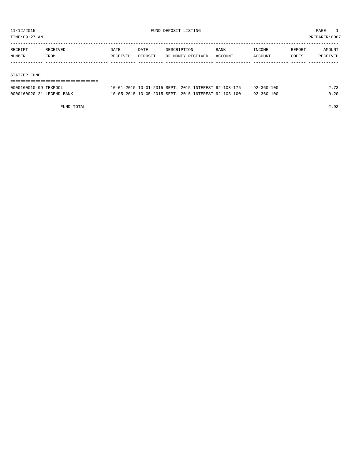TIME:09:27 AM PREPARER:0007

| RECEIPT | <b>RECEIVED</b> | DATE     | DATE    | DESCRIPTION       | <b>BANK</b> | INCOME         | REPORT       | AMOUNT   |
|---------|-----------------|----------|---------|-------------------|-------------|----------------|--------------|----------|
| NUMBER  | FROM            | RECEIVED | DEPOSIT | OF MONEY RECEIVED | ACCOUNT     | <b>ACCOUNT</b> | <b>CODES</b> | RECEIVED |
|         |                 |          |         |                   |             |                |              |          |

#### STATZER FUND

| ------------------------------ |                                                      |                  |      |
|--------------------------------|------------------------------------------------------|------------------|------|
| 0000160010-09 TEXPOOL          | 10-01-2015 10-01-2015 SEPT. 2015 INTEREST 92-103-175 | $92 - 360 - 100$ | 2.73 |
| 0000160020-21 LEGEND BANK      | 10-05-2015 10-05-2015 SEPT, 2015 INTEREST 92-103-100 | 92-360-100       | 0.20 |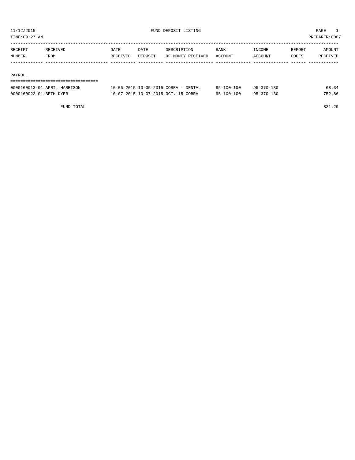TIME:09:27 AM PREPARER:0007

| RECEIPT | <b>RECEIVED</b> | DATE     | DATE    | DESCRIPTION       | <b>BANK</b> | <b>TNCOME</b> | REPORT | AMOUNT          |
|---------|-----------------|----------|---------|-------------------|-------------|---------------|--------|-----------------|
| NUMBER  | FROM            | RECEIVED | DEPOSIT | OF MONEY RECEIVED | ACCOUNT     | ACCOUNT       | CODES  | <b>RECEIVED</b> |
|         |                 |          |         |                   |             |               |        |                 |

#### PAYROLL

| ------------------------------------<br>----------------------------------- |                                      |                  |                  |        |
|-----------------------------------------------------------------------------|--------------------------------------|------------------|------------------|--------|
| 0000160013-01 APRIL HARRISON                                                | 10-05-2015 10-05-2015 COBRA - DENTAL | $95 - 100 - 100$ | 95-370-130       | 68.34  |
| 0000160022-01 BETH DYER                                                     | 10-07-2015 10-07-2015 OCT. '15 COBRA | 95-100-100       | $95 - 370 - 130$ | 752.86 |